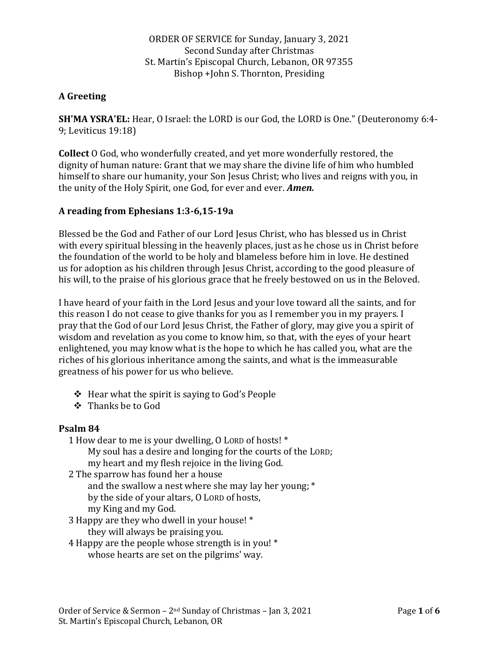ORDER OF SERVICE for Sunday, January 3, 2021 Second Sunday after Christmas St. Martin's Episcopal Church, Lebanon, OR 97355 Bishop +John S. Thornton, Presiding

# **A Greeting**

**SH'MA YSRA'EL:** Hear, O Israel: the LORD is our God, the LORD is One." (Deuteronomy 6:4- 9; Leviticus 19:18)

**Collect** O God, who wonderfully created, and yet more wonderfully restored, the dignity of human nature: Grant that we may share the divine life of him who humbled himself to share our humanity, your Son Jesus Christ; who lives and reigns with you, in the unity of the Holy Spirit, one God, for ever and ever. *Amen.*

## **A reading from Ephesians 1:3-6,15-19a**

Blessed be the God and Father of our Lord Jesus Christ, who has blessed us in Christ with every spiritual blessing in the heavenly places, just as he chose us in Christ before the foundation of the world to be holy and blameless before him in love. He destined us for adoption as his children through Jesus Christ, according to the good pleasure of his will, to the praise of his glorious grace that he freely bestowed on us in the Beloved.

I have heard of your faith in the Lord Jesus and your love toward all the saints, and for this reason I do not cease to give thanks for you as I remember you in my prayers. I pray that the God of our Lord Jesus Christ, the Father of glory, may give you a spirit of wisdom and revelation as you come to know him, so that, with the eyes of your heart enlightened, you may know what is the hope to which he has called you, what are the riches of his glorious inheritance among the saints, and what is the immeasurable greatness of his power for us who believe.

- ❖ Hear what the spirit is saying to God's People
- ❖ Thanks be to God

## **Psalm 84**

- 1 How dear to me is your dwelling, O LORD of hosts! \* My soul has a desire and longing for the courts of the LORD;
	- my heart and my flesh rejoice in the living God.
- 2 The sparrow has found her a house and the swallow a nest where she may lay her young; \* by the side of your altars, O LORD of hosts, my King and my God.
- 3 Happy are they who dwell in your house! \* they will always be praising you.
- 4 Happy are the people whose strength is in you! \* whose hearts are set on the pilgrims' way.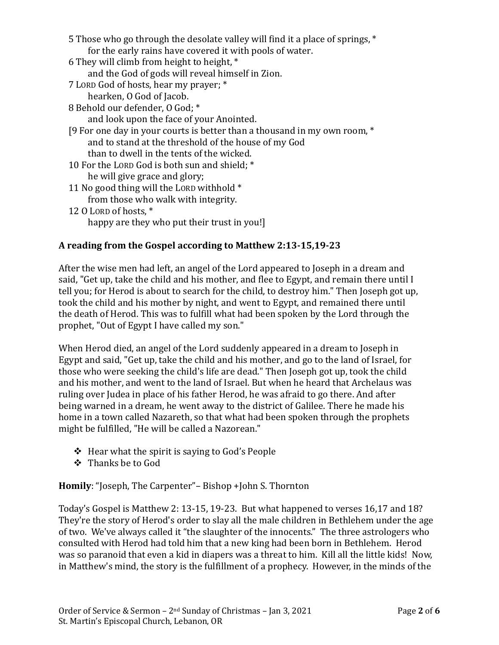| 5 Those who go through the desolate valley will find it a place of springs, *<br>for the early rains have covered it with pools of water. |
|-------------------------------------------------------------------------------------------------------------------------------------------|
| 6 They will climb from height to height, *                                                                                                |
| and the God of gods will reveal himself in Zion.                                                                                          |
| 7 LORD God of hosts, hear my prayer; *                                                                                                    |
| hearken, O God of Jacob.                                                                                                                  |
| 8 Behold our defender, 0 God; *                                                                                                           |
| and look upon the face of your Anointed.                                                                                                  |
| [9 For one day in your courts is better than a thousand in my own room, *                                                                 |
| and to stand at the threshold of the house of my God                                                                                      |
| than to dwell in the tents of the wicked.                                                                                                 |
| 10 For the LORD God is both sun and shield; *                                                                                             |
| he will give grace and glory;                                                                                                             |
| 11 No good thing will the LORD withhold *                                                                                                 |
| from those who walk with integrity.                                                                                                       |
| 12 O LORD of hosts, *                                                                                                                     |
| happy are they who put their trust in you!]                                                                                               |

## **A reading from the Gospel according to Matthew 2:13-15,19-23**

After the wise men had left, an angel of the Lord appeared to Joseph in a dream and said, "Get up, take the child and his mother, and flee to Egypt, and remain there until I tell you; for Herod is about to search for the child, to destroy him." Then Joseph got up, took the child and his mother by night, and went to Egypt, and remained there until the death of Herod. This was to fulfill what had been spoken by the Lord through the prophet, "Out of Egypt I have called my son."

When Herod died, an angel of the Lord suddenly appeared in a dream to Joseph in Egypt and said, "Get up, take the child and his mother, and go to the land of Israel, for those who were seeking the child's life are dead." Then Joseph got up, took the child and his mother, and went to the land of Israel. But when he heard that Archelaus was ruling over Judea in place of his father Herod, he was afraid to go there. And after being warned in a dream, he went away to the district of Galilee. There he made his home in a town called Nazareth, so that what had been spoken through the prophets might be fulfilled, "He will be called a Nazorean."

- ❖ Hear what the spirit is saying to God's People
- ❖ Thanks be to God

**Homily**: "Joseph, The Carpenter"– Bishop +John S. Thornton

Today's Gospel is Matthew 2: 13-15, 19-23. But what happened to verses 16,17 and 18? They're the story of Herod's order to slay all the male children in Bethlehem under the age of two. We've always called it "the slaughter of the innocents." The three astrologers who consulted with Herod had told him that a new king had been born in Bethlehem. Herod was so paranoid that even a kid in diapers was a threat to him. Kill all the little kids! Now, in Matthew's mind, the story is the fulfillment of a prophecy. However, in the minds of the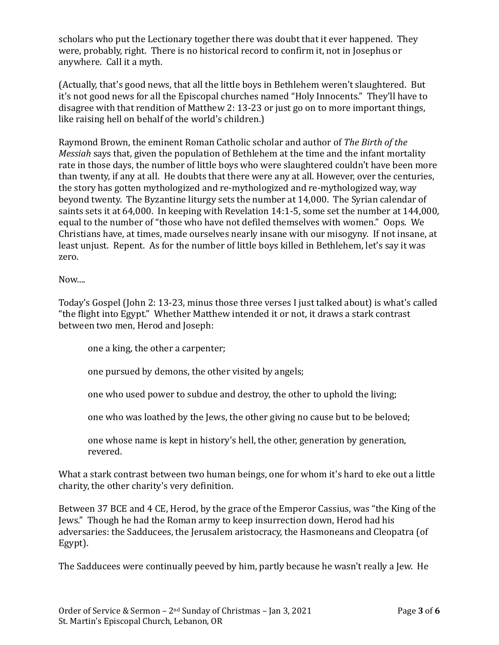scholars who put the Lectionary together there was doubt that it ever happened. They were, probably, right. There is no historical record to confirm it, not in Josephus or anywhere. Call it a myth.

(Actually, that's good news, that all the little boys in Bethlehem weren't slaughtered. But it's not good news for all the Episcopal churches named "Holy Innocents." They'll have to disagree with that rendition of Matthew 2: 13-23 or just go on to more important things, like raising hell on behalf of the world's children.)

Raymond Brown, the eminent Roman Catholic scholar and author of *The Birth of the Messiah* says that, given the population of Bethlehem at the time and the infant mortality rate in those days, the number of little boys who were slaughtered couldn't have been more than twenty, if any at all. He doubts that there were any at all. However, over the centuries, the story has gotten mythologized and re-mythologized and re-mythologized way, way beyond twenty. The Byzantine liturgy sets the number at 14,000. The Syrian calendar of saints sets it at 64,000. In keeping with Revelation 14:1-5, some set the number at 144,000, equal to the number of "those who have not defiled themselves with women." Oops. We Christians have, at times, made ourselves nearly insane with our misogyny. If not insane, at least unjust. Repent. As for the number of little boys killed in Bethlehem, let's say it was zero.

Now....

Today's Gospel (John 2: 13-23, minus those three verses I just talked about) is what's called "the flight into Egypt." Whether Matthew intended it or not, it draws a stark contrast between two men, Herod and Joseph:

one a king, the other a carpenter;

one pursued by demons, the other visited by angels;

one who used power to subdue and destroy, the other to uphold the living;

one who was loathed by the Jews, the other giving no cause but to be beloved;

one whose name is kept in history's hell, the other, generation by generation, revered.

What a stark contrast between two human beings, one for whom it's hard to eke out a little charity, the other charity's very definition.

Between 37 BCE and 4 CE, Herod, by the grace of the Emperor Cassius, was "the King of the Jews." Though he had the Roman army to keep insurrection down, Herod had his adversaries: the Sadducees, the Jerusalem aristocracy, the Hasmoneans and Cleopatra (of Egypt).

The Sadducees were continually peeved by him, partly because he wasn't really a Jew. He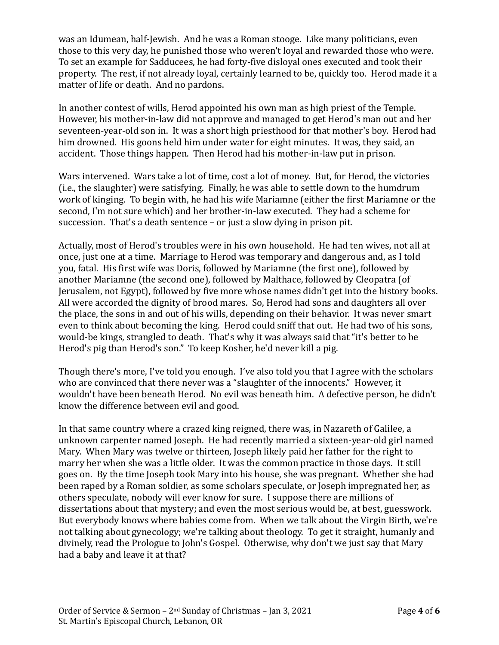was an Idumean, half-Jewish. And he was a Roman stooge. Like many politicians, even those to this very day, he punished those who weren't loyal and rewarded those who were. To set an example for Sadducees, he had forty-five disloyal ones executed and took their property. The rest, if not already loyal, certainly learned to be, quickly too. Herod made it a matter of life or death. And no pardons.

In another contest of wills, Herod appointed his own man as high priest of the Temple. However, his mother-in-law did not approve and managed to get Herod's man out and her seventeen-year-old son in. It was a short high priesthood for that mother's boy. Herod had him drowned. His goons held him under water for eight minutes. It was, they said, an accident. Those things happen. Then Herod had his mother-in-law put in prison.

Wars intervened. Wars take a lot of time, cost a lot of money. But, for Herod, the victories (i.e., the slaughter) were satisfying. Finally, he was able to settle down to the humdrum work of kinging. To begin with, he had his wife Mariamne (either the first Mariamne or the second, I'm not sure which) and her brother-in-law executed. They had a scheme for succession. That's a death sentence – or just a slow dying in prison pit.

Actually, most of Herod's troubles were in his own household. He had ten wives, not all at once, just one at a time. Marriage to Herod was temporary and dangerous and, as I told you, fatal. His first wife was Doris, followed by Mariamne (the first one), followed by another Mariamne (the second one), followed by Malthace, followed by Cleopatra (of Jerusalem, not Egypt), followed by five more whose names didn't get into the history books. All were accorded the dignity of brood mares. So, Herod had sons and daughters all over the place, the sons in and out of his wills, depending on their behavior. It was never smart even to think about becoming the king. Herod could sniff that out. He had two of his sons, would-be kings, strangled to death. That's why it was always said that "it's better to be Herod's pig than Herod's son." To keep Kosher, he'd never kill a pig.

Though there's more, I've told you enough. I've also told you that I agree with the scholars who are convinced that there never was a "slaughter of the innocents." However, it wouldn't have been beneath Herod. No evil was beneath him. A defective person, he didn't know the difference between evil and good.

In that same country where a crazed king reigned, there was, in Nazareth of Galilee, a unknown carpenter named Joseph. He had recently married a sixteen-year-old girl named Mary. When Mary was twelve or thirteen, Joseph likely paid her father for the right to marry her when she was a little older. It was the common practice in those days. It still goes on. By the time Joseph took Mary into his house, she was pregnant. Whether she had been raped by a Roman soldier, as some scholars speculate, or Joseph impregnated her, as others speculate, nobody will ever know for sure. I suppose there are millions of dissertations about that mystery; and even the most serious would be, at best, guesswork. But everybody knows where babies come from. When we talk about the Virgin Birth, we're not talking about gynecology; we're talking about theology. To get it straight, humanly and divinely, read the Prologue to John's Gospel. Otherwise, why don't we just say that Mary had a baby and leave it at that?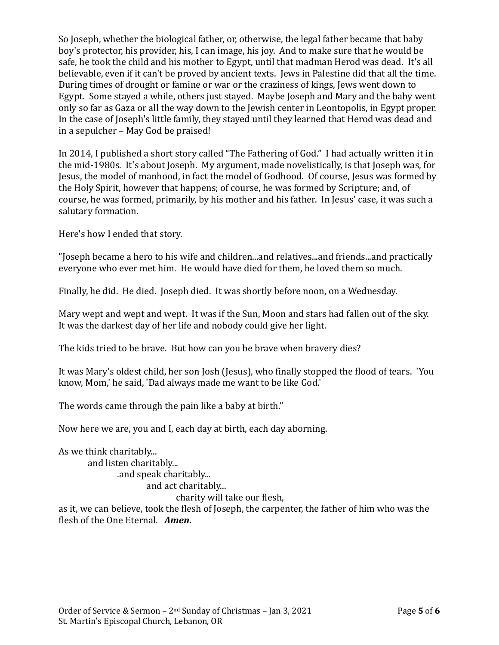So Joseph, whether the biological father, or, otherwise, the legal father became that baby boy's protector, his provider, his, I can image, his joy. And to make sure that he would be safe, he took the child and his mother to Egypt, until that madman Herod was dead. It's all believable, even if it can't be proved by ancient texts. Jews in Palestine did that all the time. During times of drought or famine or war or the craziness of kings, Jews went down to Egypt. Some stayed a while, others just stayed. Maybe Joseph and Mary and the baby went only so far as Gaza or all the way down to the Jewish center in Leontopolis, in Egypt proper. In the case of Joseph's little family, they stayed until they learned that Herod was dead and in a sepulcher – May God be praised!

In 2014, I published a short story called "The Fathering of God." I had actually written it in the mid-1980s. It's about Joseph. My argument, made novelistically, is that Joseph was, for Jesus, the model of manhood, in fact the model of Godhood. Of course, Jesus was formed by the Holy Spirit, however that happens; of course, he was formed by Scripture; and, of course, he was formed, primarily, by his mother and his father. In Jesus' case, it was such a salutary formation.

Here's how I ended that story.

"Joseph became a hero to his wife and children...and relatives...and friends...and practically everyone who ever met him. He would have died for them, he loved them so much.

Finally, he did. He died. Joseph died. It was shortly before noon, on a Wednesday.

Mary wept and wept and wept. It was if the Sun, Moon and stars had fallen out of the sky. It was the darkest day of her life and nobody could give her light.

The kids tried to be brave. But how can you be brave when bravery dies?

It was Mary's oldest child, her son Josh (Jesus), who finally stopped the flood of tears. 'You know, Mom,' he said, 'Dad always made me want to be like God.'

The words came through the pain like a baby at birth."

Now here we are, you and I, each day at birth, each day aborning.

As we think charitably... and listen charitably... .and speak charitably... and act charitably... charity will take our flesh, as it, we can believe, took the flesh of Joseph, the carpenter, the father of him who was the

flesh of the One Eternal. *Amen.*